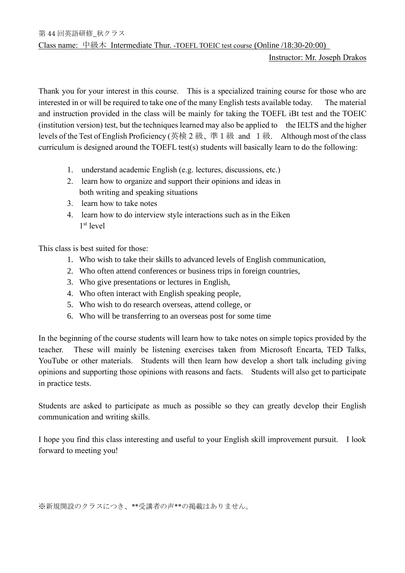Instructor: Mr. Joseph Drakos

Thank you for your interest in this course. This is a specialized training course for those who are interested in or will be required to take one of the many English tests available today. The material and instruction provided in the class will be mainly for taking the TOEFL iBt test and the TOEIC (institution version) test, but the techniques learned may also be applied to the IELTS and the higher levels of the Test of English Proficiency (英検 2 級、準1級 and 1級. Although most of the class curriculum is designed around the TOEFL test(s) students will basically learn to do the following:

- 1. understand academic English (e.g. lectures, discussions, etc.)
- 2. learn how to organize and support their opinions and ideas in both writing and speaking situations
- 3. learn how to take notes
- 4. learn how to do interview style interactions such as in the Eiken 1 st level

This class is best suited for those:

- 1. Who wish to take their skills to advanced levels of English communication,
- 2. Who often attend conferences or business trips in foreign countries,
- 3. Who give presentations or lectures in English,
- 4. Who often interact with English speaking people,
- 5. Who wish to do research overseas, attend college, or
- 6. Who will be transferring to an overseas post for some time

In the beginning of the course students will learn how to take notes on simple topics provided by the teacher. These will mainly be listening exercises taken from Microsoft Encarta, TED Talks, YouTube or other materials. Students will then learn how develop a short talk including giving opinions and supporting those opinions with reasons and facts. Students will also get to participate in practice tests.

Students are asked to participate as much as possible so they can greatly develop their English communication and writing skills.

I hope you find this class interesting and useful to your English skill improvement pursuit. I look forward to meeting you!

※新規開設のクラスにつき、\*\*受講者の声\*\*の掲載はありません。